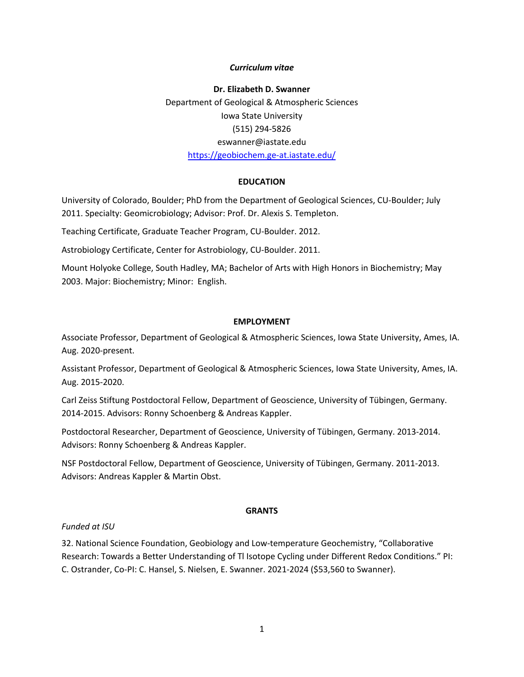#### *Curriculum vitae*

**Dr. Elizabeth D. Swanner** Department of Geological & Atmospheric Sciences Iowa State University (515) 294-5826 eswanner@iastate.edu https://geobiochem.ge-at.iastate.edu/

#### **EDUCATION**

University of Colorado, Boulder; PhD from the Department of Geological Sciences, CU-Boulder; July 2011. Specialty: Geomicrobiology; Advisor: Prof. Dr. Alexis S. Templeton.

Teaching Certificate, Graduate Teacher Program, CU-Boulder. 2012.

Astrobiology Certificate, Center for Astrobiology, CU-Boulder. 2011.

Mount Holyoke College, South Hadley, MA; Bachelor of Arts with High Honors in Biochemistry; May 2003. Major: Biochemistry; Minor: English.

#### **EMPLOYMENT**

Associate Professor, Department of Geological & Atmospheric Sciences, Iowa State University, Ames, IA. Aug. 2020-present.

Assistant Professor, Department of Geological & Atmospheric Sciences, Iowa State University, Ames, IA. Aug. 2015-2020.

Carl Zeiss Stiftung Postdoctoral Fellow, Department of Geoscience, University of Tübingen, Germany. 2014-2015. Advisors: Ronny Schoenberg & Andreas Kappler.

Postdoctoral Researcher, Department of Geoscience, University of Tübingen, Germany. 2013-2014. Advisors: Ronny Schoenberg & Andreas Kappler.

NSF Postdoctoral Fellow, Department of Geoscience, University of Tübingen, Germany. 2011-2013. Advisors: Andreas Kappler & Martin Obst.

### **GRANTS**

### *Funded at ISU*

32. National Science Foundation, Geobiology and Low-temperature Geochemistry, "Collaborative Research: Towards a Better Understanding of Tl Isotope Cycling under Different Redox Conditions." PI: C. Ostrander, Co-PI: C. Hansel, S. Nielsen, E. Swanner. 2021-2024 (\$53,560 to Swanner).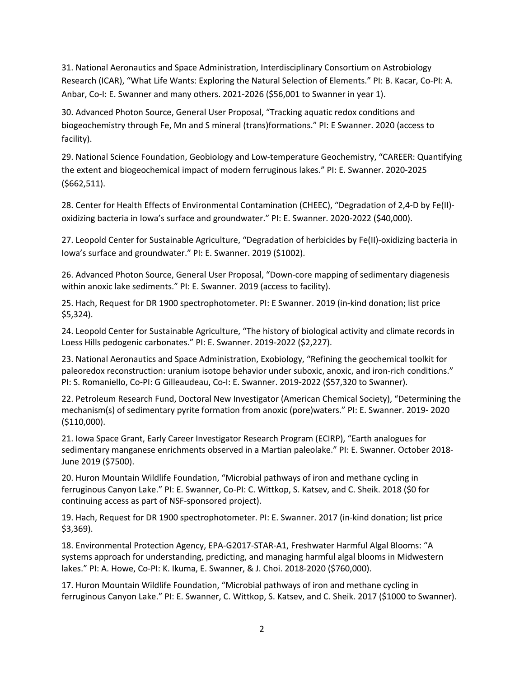31. National Aeronautics and Space Administration, Interdisciplinary Consortium on Astrobiology Research (ICAR), "What Life Wants: Exploring the Natural Selection of Elements." PI: B. Kacar, Co-PI: A. Anbar, Co-I: E. Swanner and many others. 2021-2026 (\$56,001 to Swanner in year 1).

30. Advanced Photon Source, General User Proposal, "Tracking aquatic redox conditions and biogeochemistry through Fe, Mn and S mineral (trans)formations." PI: E Swanner. 2020 (access to facility).

29. National Science Foundation, Geobiology and Low-temperature Geochemistry, "CAREER: Quantifying the extent and biogeochemical impact of modern ferruginous lakes." PI: E. Swanner. 2020-2025 (\$662,511).

28. Center for Health Effects of Environmental Contamination (CHEEC), "Degradation of 2,4-D by Fe(II) oxidizing bacteria in Iowa's surface and groundwater." PI: E. Swanner. 2020-2022 (\$40,000).

27. Leopold Center for Sustainable Agriculture, "Degradation of herbicides by Fe(II)-oxidizing bacteria in Iowa's surface and groundwater." PI: E. Swanner. 2019 (\$1002).

26. Advanced Photon Source, General User Proposal, "Down-core mapping of sedimentary diagenesis within anoxic lake sediments." PI: E. Swanner. 2019 (access to facility).

25. Hach, Request for DR 1900 spectrophotometer. PI: E Swanner. 2019 (in-kind donation; list price \$5,324).

24. Leopold Center for Sustainable Agriculture, "The history of biological activity and climate records in Loess Hills pedogenic carbonates." PI: E. Swanner. 2019-2022 (\$2,227).

23. National Aeronautics and Space Administration, Exobiology, "Refining the geochemical toolkit for paleoredox reconstruction: uranium isotope behavior under suboxic, anoxic, and iron-rich conditions." PI: S. Romaniello, Co-PI: G Gilleaudeau, Co-I: E. Swanner. 2019-2022 (\$57,320 to Swanner).

22. Petroleum Research Fund, Doctoral New Investigator (American Chemical Society), "Determining the mechanism(s) of sedimentary pyrite formation from anoxic (pore)waters." PI: E. Swanner. 2019- 2020 (\$110,000).

21. Iowa Space Grant, Early Career Investigator Research Program (ECIRP), "Earth analogues for sedimentary manganese enrichments observed in a Martian paleolake." PI: E. Swanner. October 2018- June 2019 (\$7500).

20. Huron Mountain Wildlife Foundation, "Microbial pathways of iron and methane cycling in ferruginous Canyon Lake." PI: E. Swanner, Co-PI: C. Wittkop, S. Katsev, and C. Sheik. 2018 (\$0 for continuing access as part of NSF-sponsored project).

19. Hach, Request for DR 1900 spectrophotometer. PI: E. Swanner. 2017 (in-kind donation; list price \$3,369).

18. Environmental Protection Agency, EPA-G2017-STAR-A1, Freshwater Harmful Algal Blooms: "A systems approach for understanding, predicting, and managing harmful algal blooms in Midwestern lakes." PI: A. Howe, Co-PI: K. Ikuma, E. Swanner, & J. Choi. 2018-2020 (\$760,000).

17. Huron Mountain Wildlife Foundation, "Microbial pathways of iron and methane cycling in ferruginous Canyon Lake." PI: E. Swanner, C. Wittkop, S. Katsev, and C. Sheik. 2017 (\$1000 to Swanner).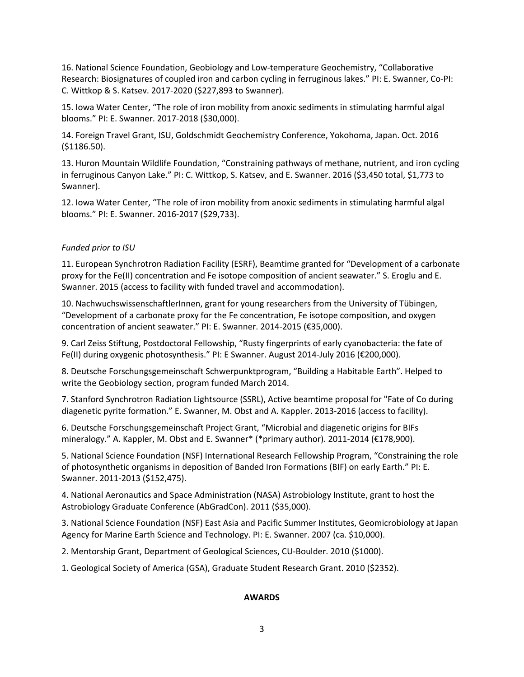16. National Science Foundation, Geobiology and Low-temperature Geochemistry, "Collaborative Research: Biosignatures of coupled iron and carbon cycling in ferruginous lakes." PI: E. Swanner, Co-PI: C. Wittkop & S. Katsev. 2017-2020 (\$227,893 to Swanner).

15. Iowa Water Center, "The role of iron mobility from anoxic sediments in stimulating harmful algal blooms." PI: E. Swanner. 2017-2018 (\$30,000).

14. Foreign Travel Grant, ISU, Goldschmidt Geochemistry Conference, Yokohoma, Japan. Oct. 2016 (\$1186.50).

13. Huron Mountain Wildlife Foundation, "Constraining pathways of methane, nutrient, and iron cycling in ferruginous Canyon Lake." PI: C. Wittkop, S. Katsev, and E. Swanner. 2016 (\$3,450 total, \$1,773 to Swanner).

12. Iowa Water Center, "The role of iron mobility from anoxic sediments in stimulating harmful algal blooms." PI: E. Swanner. 2016-2017 (\$29,733).

#### *Funded prior to ISU*

11. European Synchrotron Radiation Facility (ESRF), Beamtime granted for "Development of a carbonate proxy for the Fe(II) concentration and Fe isotope composition of ancient seawater." S. Eroglu and E. Swanner. 2015 (access to facility with funded travel and accommodation).

10. NachwuchswissenschaftlerInnen, grant for young researchers from the University of Tübingen, "Development of a carbonate proxy for the Fe concentration, Fe isotope composition, and oxygen concentration of ancient seawater." PI: E. Swanner. 2014-2015 (€35,000).

9. Carl Zeiss Stiftung, Postdoctoral Fellowship, "Rusty fingerprints of early cyanobacteria: the fate of Fe(II) during oxygenic photosynthesis." PI: E Swanner. August 2014-July 2016 (€200,000).

8. Deutsche Forschungsgemeinschaft Schwerpunktprogram, "Building a Habitable Earth". Helped to write the Geobiology section, program funded March 2014.

7. Stanford Synchrotron Radiation Lightsource (SSRL), Active beamtime proposal for "Fate of Co during diagenetic pyrite formation." E. Swanner, M. Obst and A. Kappler. 2013-2016 (access to facility).

6. Deutsche Forschungsgemeinschaft Project Grant, "Microbial and diagenetic origins for BIFs mineralogy." A. Kappler, M. Obst and E. Swanner\* (\*primary author). 2011-2014 (€178,900).

5. National Science Foundation (NSF) International Research Fellowship Program, "Constraining the role of photosynthetic organisms in deposition of Banded Iron Formations (BIF) on early Earth." PI: E. Swanner. 2011-2013 (\$152,475).

4. National Aeronautics and Space Administration (NASA) Astrobiology Institute, grant to host the Astrobiology Graduate Conference (AbGradCon). 2011 (\$35,000).

3. National Science Foundation (NSF) East Asia and Pacific Summer Institutes, Geomicrobiology at Japan Agency for Marine Earth Science and Technology. PI: E. Swanner. 2007 (ca. \$10,000).

2. Mentorship Grant, Department of Geological Sciences, CU-Boulder. 2010 (\$1000).

1. Geological Society of America (GSA), Graduate Student Research Grant. 2010 (\$2352).

#### **AWARDS**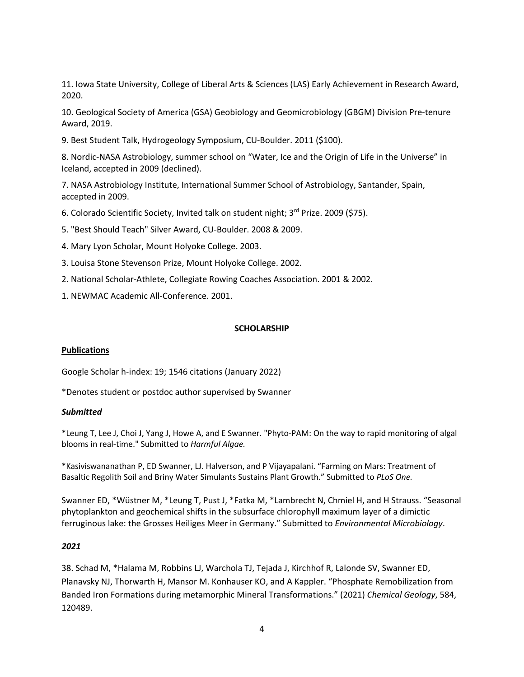11. Iowa State University, College of Liberal Arts & Sciences (LAS) Early Achievement in Research Award, 2020.

10. Geological Society of America (GSA) Geobiology and Geomicrobiology (GBGM) Division Pre-tenure Award, 2019.

9. Best Student Talk, Hydrogeology Symposium, CU-Boulder. 2011 (\$100).

8. Nordic-NASA Astrobiology, summer school on "Water, Ice and the Origin of Life in the Universe" in Iceland, accepted in 2009 (declined).

7. NASA Astrobiology Institute, International Summer School of Astrobiology, Santander, Spain, accepted in 2009.

- 6. Colorado Scientific Society, Invited talk on student night; 3rd Prize. 2009 (\$75).
- 5. "Best Should Teach" Silver Award, CU-Boulder. 2008 & 2009.
- 4. Mary Lyon Scholar, Mount Holyoke College. 2003.
- 3. Louisa Stone Stevenson Prize, Mount Holyoke College. 2002.
- 2. National Scholar-Athlete, Collegiate Rowing Coaches Association. 2001 & 2002.
- 1. NEWMAC Academic All-Conference. 2001.

#### **SCHOLARSHIP**

#### **Publications**

Google Scholar h-index: 19; 1546 citations (January 2022)

\*Denotes student or postdoc author supervised by Swanner

#### *Submitted*

\*Leung T, Lee J, Choi J, Yang J, Howe A, and E Swanner. "Phyto-PAM: On the way to rapid monitoring of algal blooms in real-time." Submitted to *Harmful Algae.*

\*Kasiviswananathan P, ED Swanner, LJ. Halverson, and P Vijayapalani. "Farming on Mars: Treatment of Basaltic Regolith Soil and Briny Water Simulants Sustains Plant Growth." Submitted to *PLoS One.*

Swanner ED, \*Wüstner M, \*Leung T, Pust J, \*Fatka M, \*Lambrecht N, Chmiel H, and H Strauss. "Seasonal phytoplankton and geochemical shifts in the subsurface chlorophyll maximum layer of a dimictic ferruginous lake: the Grosses Heiliges Meer in Germany." Submitted to *Environmental Microbiology*.

#### *2021*

38. Schad M, \*Halama M, Robbins LJ, Warchola TJ, Tejada J, Kirchhof R, Lalonde SV, Swanner ED, Planavsky NJ, Thorwarth H, Mansor M. Konhauser KO, and A Kappler. "Phosphate Remobilization from Banded Iron Formations during metamorphic Mineral Transformations." (2021) *Chemical Geology*, 584, 120489.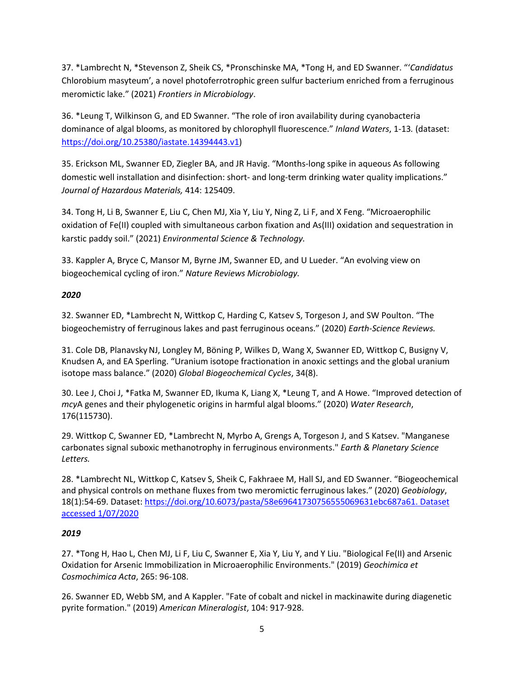37. \*Lambrecht N, \*Stevenson Z, Sheik CS, \*Pronschinske MA, \*Tong H, and ED Swanner. "'*Candidatus* Chlorobium masyteum', a novel photoferrotrophic green sulfur bacterium enriched from a ferruginous meromictic lake." (2021) *Frontiers in Microbiology*.

36. \*Leung T, Wilkinson G, and ED Swanner. "The role of iron availability during cyanobacteria dominance of algal blooms, as monitored by chlorophyll fluorescence." *Inland Waters*, 1-13*.* (dataset: https://doi.org/10.25380/iastate.14394443.v1)

35. Erickson ML, Swanner ED, Ziegler BA, and JR Havig. "Months-long spike in aqueous As following domestic well installation and disinfection: short- and long-term drinking water quality implications." *Journal of Hazardous Materials,* 414: 125409.

34. Tong H, Li B, Swanner E, Liu C, Chen MJ, Xia Y, Liu Y, Ning Z, Li F, and X Feng. "Microaerophilic oxidation of Fe(II) coupled with simultaneous carbon fixation and As(III) oxidation and sequestration in karstic paddy soil." (2021) *Environmental Science & Technology.*

33. Kappler A, Bryce C, Mansor M, Byrne JM, Swanner ED, and U Lueder. "An evolving view on biogeochemical cycling of iron." *Nature Reviews Microbiology.*

## *2020*

32. Swanner ED, \*Lambrecht N, Wittkop C, Harding C, Katsev S, Torgeson J, and SW Poulton. "The biogeochemistry of ferruginous lakes and past ferruginous oceans." (2020) *Earth-Science Reviews.*

31. Cole DB, PlanavskyNJ, Longley M, Böning P, Wilkes D, Wang X, Swanner ED, Wittkop C, Busigny V, Knudsen A, and EA Sperling. "Uranium isotope fractionation in anoxic settings and the global uranium isotope mass balance." (2020) *Global Biogeochemical Cycles*, 34(8).

30. Lee J, Choi J, \*Fatka M, Swanner ED, Ikuma K, Liang X, \*Leung T, and A Howe. "Improved detection of *mcy*A genes and their phylogenetic origins in harmful algal blooms." (2020) *Water Research*, 176(115730).

29. Wittkop C, Swanner ED, \*Lambrecht N, Myrbo A, Grengs A, Torgeson J, and S Katsev. "Manganese carbonates signal suboxic methanotrophy in ferruginous environments." *Earth & Planetary Science Letters.*

28. \*Lambrecht NL, Wittkop C, Katsev S, Sheik C, Fakhraee M, Hall SJ, and ED Swanner. "Biogeochemical and physical controls on methane fluxes from two meromictic ferruginous lakes." (2020) *Geobiology*, 18(1):54-69. Dataset: https://doi.org/10.6073/pasta/58e69641730756555069631ebc687a61. Dataset accessed 1/07/2020

# *2019*

27. \*Tong H, Hao L, Chen MJ, Li F, Liu C, Swanner E, Xia Y, Liu Y, and Y Liu. "Biological Fe(II) and Arsenic Oxidation for Arsenic Immobilization in Microaerophilic Environments." (2019) *Geochimica et Cosmochimica Acta*, 265: 96-108.

26. Swanner ED, Webb SM, and A Kappler. "Fate of cobalt and nickel in mackinawite during diagenetic pyrite formation." (2019) *American Mineralogist*, 104: 917-928.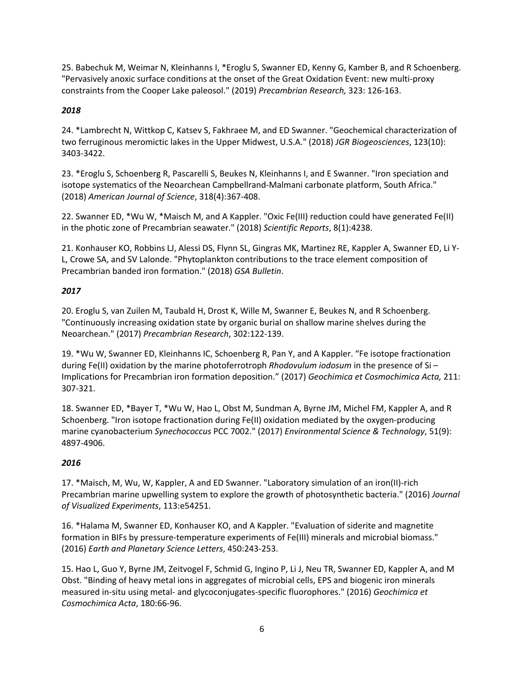25. Babechuk M, Weimar N, Kleinhanns I, \*Eroglu S, Swanner ED, Kenny G, Kamber B, and R Schoenberg. "Pervasively anoxic surface conditions at the onset of the Great Oxidation Event: new multi-proxy constraints from the Cooper Lake paleosol." (2019) *Precambrian Research,* 323: 126-163.

# *2018*

24. \*Lambrecht N, Wittkop C, Katsev S, Fakhraee M, and ED Swanner. "Geochemical characterization of two ferruginous meromictic lakes in the Upper Midwest, U.S.A." (2018) *JGR Biogeosciences*, 123(10): 3403-3422.

23. \*Eroglu S, Schoenberg R, Pascarelli S, Beukes N, Kleinhanns I, and E Swanner. "Iron speciation and isotope systematics of the Neoarchean Campbellrand-Malmani carbonate platform, South Africa." (2018) *American Journal of Science*, 318(4):367-408.

22. Swanner ED, \*Wu W, \*Maisch M, and A Kappler. "Oxic Fe(III) reduction could have generated Fe(II) in the photic zone of Precambrian seawater." (2018) *Scientific Reports*, 8(1):4238.

21. Konhauser KO, Robbins LJ, Alessi DS, Flynn SL, Gingras MK, Martinez RE, Kappler A, Swanner ED, Li Y-L, Crowe SA, and SV Lalonde. "Phytoplankton contributions to the trace element composition of Precambrian banded iron formation." (2018) *GSA Bulletin*.

# *2017*

20. Eroglu S, van Zuilen M, Taubald H, Drost K, Wille M, Swanner E, Beukes N, and R Schoenberg. "Continuously increasing oxidation state by organic burial on shallow marine shelves during the Neoarchean." (2017) *Precambrian Research*, 302:122-139.

19. \*Wu W, Swanner ED, Kleinhanns IC, Schoenberg R, Pan Y, and A Kappler. "Fe isotope fractionation during Fe(II) oxidation by the marine photoferrotroph *Rhodovulum iodosum* in the presence of Si – Implications for Precambrian iron formation deposition." (2017) *Geochimica et Cosmochimica Acta,* 211: 307-321.

18. Swanner ED, \*Bayer T, \*Wu W, Hao L, Obst M, Sundman A, Byrne JM, Michel FM, Kappler A, and R Schoenberg. "Iron isotope fractionation during Fe(II) oxidation mediated by the oxygen-producing marine cyanobacterium *Synechococcus* PCC 7002." (2017) *Environmental Science & Technology*, 51(9): 4897-4906.

# *2016*

17. \*Maisch, M, Wu, W, Kappler, A and ED Swanner. "Laboratory simulation of an iron(II)-rich Precambrian marine upwelling system to explore the growth of photosynthetic bacteria." (2016) *Journal of Visualized Experiments*, 113:e54251.

16. \*Halama M, Swanner ED, Konhauser KO, and A Kappler. "Evaluation of siderite and magnetite formation in BIFs by pressure-temperature experiments of Fe(III) minerals and microbial biomass." (2016) *Earth and Planetary Science Letters*, 450:243-253.

15. Hao L, Guo Y, Byrne JM, Zeitvogel F, Schmid G, Ingino P, Li J, Neu TR, Swanner ED, Kappler A, and M Obst. "Binding of heavy metal ions in aggregates of microbial cells, EPS and biogenic iron minerals measured in-situ using metal- and glycoconjugates-specific fluorophores." (2016) *Geochimica et Cosmochimica Acta*, 180:66-96.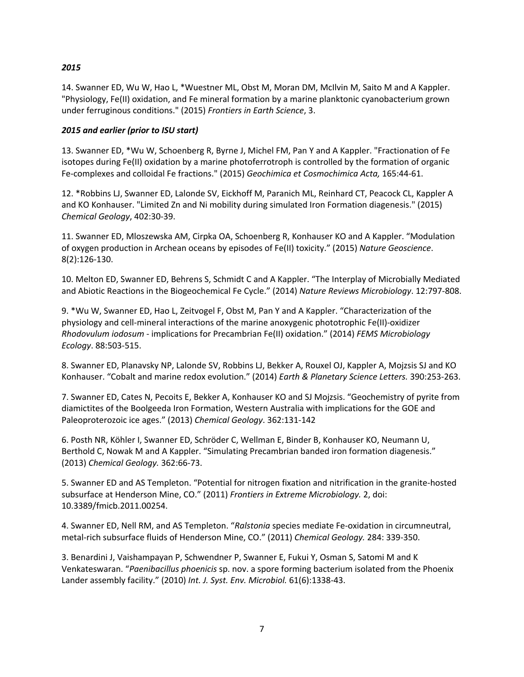### *2015*

14. Swanner ED, Wu W, Hao L, \*Wuestner ML, Obst M, Moran DM, McIlvin M, Saito M and A Kappler. "Physiology, Fe(II) oxidation, and Fe mineral formation by a marine planktonic cyanobacterium grown under ferruginous conditions." (2015) *Frontiers in Earth Science*, 3.

### *2015 and earlier (prior to ISU start)*

13. Swanner ED, \*Wu W, Schoenberg R, Byrne J, Michel FM, Pan Y and A Kappler. "Fractionation of Fe isotopes during Fe(II) oxidation by a marine photoferrotroph is controlled by the formation of organic Fe-complexes and colloidal Fe fractions." (2015) *Geochimica et Cosmochimica Acta,* 165:44-61.

12. \*Robbins LJ, Swanner ED, Lalonde SV, Eickhoff M, Paranich ML, Reinhard CT, Peacock CL, Kappler A and KO Konhauser. "Limited Zn and Ni mobility during simulated Iron Formation diagenesis." (2015) *Chemical Geology*, 402:30-39.

11. Swanner ED, Mloszewska AM, Cirpka OA, Schoenberg R, Konhauser KO and A Kappler. "Modulation of oxygen production in Archean oceans by episodes of Fe(II) toxicity." (2015) *Nature Geoscience*. 8(2):126-130.

10. Melton ED, Swanner ED, Behrens S, Schmidt C and A Kappler. "The Interplay of Microbially Mediated and Abiotic Reactions in the Biogeochemical Fe Cycle." (2014) *Nature Reviews Microbiology*. 12:797-808.

9. \*Wu W, Swanner ED, Hao L, Zeitvogel F, Obst M, Pan Y and A Kappler. "Characterization of the physiology and cell-mineral interactions of the marine anoxygenic phototrophic Fe(II)-oxidizer *Rhodovulum iodosum* - implications for Precambrian Fe(II) oxidation." (2014) *FEMS Microbiology Ecology*. 88:503-515.

8. Swanner ED, Planavsky NP, Lalonde SV, Robbins LJ, Bekker A, Rouxel OJ, Kappler A, Mojzsis SJ and KO Konhauser. "Cobalt and marine redox evolution." (2014) *Earth & Planetary Science Letters.* 390:253-263.

7. Swanner ED, Cates N, Pecoits E, Bekker A, Konhauser KO and SJ Mojzsis. "Geochemistry of pyrite from diamictites of the Boolgeeda Iron Formation, Western Australia with implications for the GOE and Paleoproterozoic ice ages." (2013) *Chemical Geology*. 362:131-142

6. Posth NR, Köhler I, Swanner ED, Schröder C, Wellman E, Binder B, Konhauser KO, Neumann U, Berthold C, Nowak M and A Kappler. "Simulating Precambrian banded iron formation diagenesis." (2013) *Chemical Geology.* 362:66-73.

5. Swanner ED and AS Templeton. "Potential for nitrogen fixation and nitrification in the granite-hosted subsurface at Henderson Mine, CO." (2011) *Frontiers in Extreme Microbiology.* 2, doi: 10.3389/fmicb.2011.00254.

4. Swanner ED, Nell RM, and AS Templeton. "*Ralstonia* species mediate Fe-oxidation in circumneutral, metal-rich subsurface fluids of Henderson Mine, CO." (2011) *Chemical Geology.* 284: 339-350.

3. Benardini J, Vaishampayan P, Schwendner P, Swanner E, Fukui Y, Osman S, Satomi M and K Venkateswaran. "*Paenibacillus phoenicis* sp. nov. a spore forming bacterium isolated from the Phoenix Lander assembly facility." (2010) *Int. J. Syst. Env. Microbiol.* 61(6):1338-43.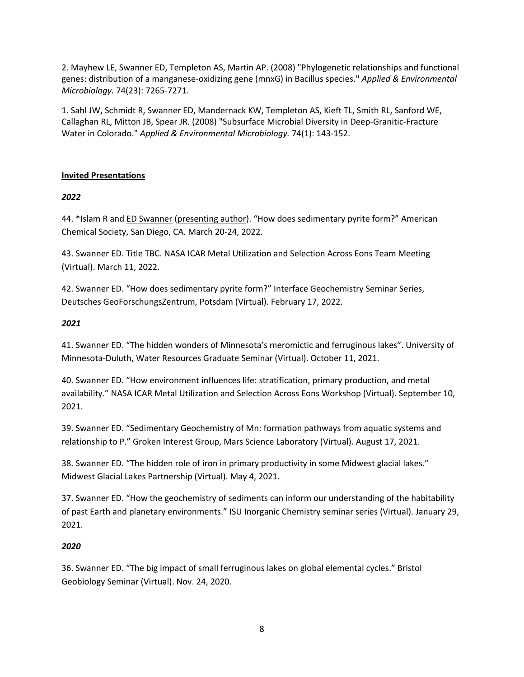2. Mayhew LE, Swanner ED, Templeton AS, Martin AP. (2008) "Phylogenetic relationships and functional genes: distribution of a manganese-oxidizing gene (mnxG) in Bacillus species." *Applied & Environmental Microbiology.* 74(23): 7265-7271.

1. Sahl JW, Schmidt R, Swanner ED, Mandernack KW, Templeton AS, Kieft TL, Smith RL, Sanford WE, Callaghan RL, Mitton JB, Spear JR. (2008) "Subsurface Microbial Diversity in Deep-Granitic-Fracture Water in Colorado." *Applied & Environmental Microbiology.* 74(1): 143-152.

## **Invited Presentations**

## *2022*

44. \*Islam R and ED Swanner (presenting author). "How does sedimentary pyrite form?" American Chemical Society, San Diego, CA. March 20-24, 2022.

43. Swanner ED. Title TBC. NASA ICAR Metal Utilization and Selection Across Eons Team Meeting (Virtual). March 11, 2022.

42. Swanner ED. "How does sedimentary pyrite form?" Interface Geochemistry Seminar Series, Deutsches GeoForschungsZentrum, Potsdam (Virtual). February 17, 2022.

### *2021*

41. Swanner ED. "The hidden wonders of Minnesota's meromictic and ferruginous lakes". University of Minnesota-Duluth, Water Resources Graduate Seminar (Virtual). October 11, 2021.

40. Swanner ED. "How environment influences life: stratification, primary production, and metal availability." NASA ICAR Metal Utilization and Selection Across Eons Workshop (Virtual). September 10, 2021.

39. Swanner ED. "Sedimentary Geochemistry of Mn: formation pathways from aquatic systems and relationship to P." Groken Interest Group, Mars Science Laboratory (Virtual). August 17, 2021.

38. Swanner ED. "The hidden role of iron in primary productivity in some Midwest glacial lakes." Midwest Glacial Lakes Partnership (Virtual). May 4, 2021.

37. Swanner ED. "How the geochemistry of sediments can inform our understanding of the habitability of past Earth and planetary environments." ISU Inorganic Chemistry seminar series (Virtual). January 29, 2021.

## *2020*

36. Swanner ED. "The big impact of small ferruginous lakes on global elemental cycles." Bristol Geobiology Seminar (Virtual). Nov. 24, 2020.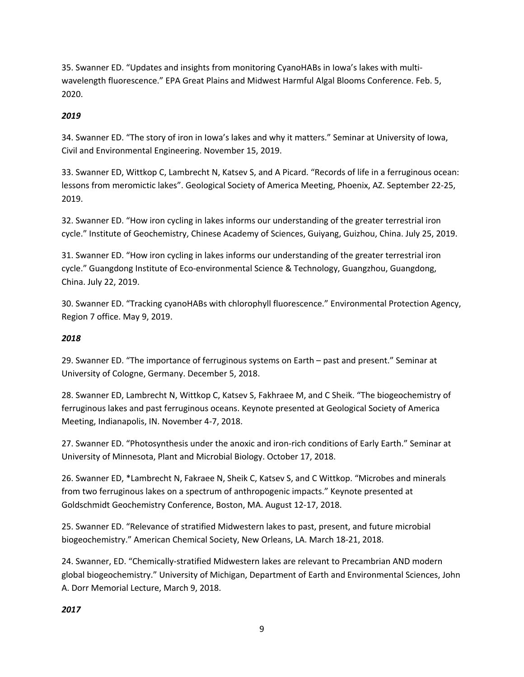35. Swanner ED. "Updates and insights from monitoring CyanoHABs in Iowa's lakes with multiwavelength fluorescence." EPA Great Plains and Midwest Harmful Algal Blooms Conference. Feb. 5, 2020.

# *2019*

34. Swanner ED. "The story of iron in Iowa's lakes and why it matters." Seminar at University of Iowa, Civil and Environmental Engineering. November 15, 2019.

33. Swanner ED, Wittkop C, Lambrecht N, Katsev S, and A Picard. "Records of life in a ferruginous ocean: lessons from meromictic lakes". Geological Society of America Meeting, Phoenix, AZ. September 22-25, 2019.

32. Swanner ED. "How iron cycling in lakes informs our understanding of the greater terrestrial iron cycle." Institute of Geochemistry, Chinese Academy of Sciences, Guiyang, Guizhou, China. July 25, 2019.

31. Swanner ED. "How iron cycling in lakes informs our understanding of the greater terrestrial iron cycle." Guangdong Institute of Eco-environmental Science & Technology, Guangzhou, Guangdong, China. July 22, 2019.

30. Swanner ED. "Tracking cyanoHABs with chlorophyll fluorescence." Environmental Protection Agency, Region 7 office. May 9, 2019.

## *2018*

29. Swanner ED. "The importance of ferruginous systems on Earth – past and present." Seminar at University of Cologne, Germany. December 5, 2018.

28. Swanner ED, Lambrecht N, Wittkop C, Katsev S, Fakhraee M, and C Sheik. "The biogeochemistry of ferruginous lakes and past ferruginous oceans. Keynote presented at Geological Society of America Meeting, Indianapolis, IN. November 4-7, 2018.

27. Swanner ED. "Photosynthesis under the anoxic and iron-rich conditions of Early Earth." Seminar at University of Minnesota, Plant and Microbial Biology. October 17, 2018.

26. Swanner ED, \*Lambrecht N, Fakraee N, Sheik C, Katsev S, and C Wittkop. "Microbes and minerals from two ferruginous lakes on a spectrum of anthropogenic impacts." Keynote presented at Goldschmidt Geochemistry Conference, Boston, MA. August 12-17, 2018.

25. Swanner ED. "Relevance of stratified Midwestern lakes to past, present, and future microbial biogeochemistry." American Chemical Society, New Orleans, LA. March 18-21, 2018.

24. Swanner, ED. "Chemically-stratified Midwestern lakes are relevant to Precambrian AND modern global biogeochemistry." University of Michigan, Department of Earth and Environmental Sciences, John A. Dorr Memorial Lecture, March 9, 2018.

## *2017*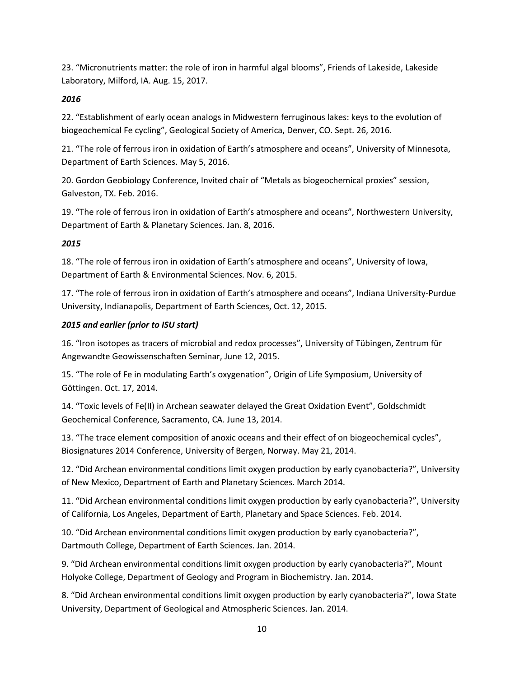23. "Micronutrients matter: the role of iron in harmful algal blooms", Friends of Lakeside, Lakeside Laboratory, Milford, IA. Aug. 15, 2017.

# *2016*

22. "Establishment of early ocean analogs in Midwestern ferruginous lakes: keys to the evolution of biogeochemical Fe cycling", Geological Society of America, Denver, CO. Sept. 26, 2016.

21. "The role of ferrous iron in oxidation of Earth's atmosphere and oceans", University of Minnesota, Department of Earth Sciences. May 5, 2016.

20. Gordon Geobiology Conference, Invited chair of "Metals as biogeochemical proxies" session, Galveston, TX. Feb. 2016.

19. "The role of ferrous iron in oxidation of Earth's atmosphere and oceans", Northwestern University, Department of Earth & Planetary Sciences. Jan. 8, 2016.

# *2015*

18. "The role of ferrous iron in oxidation of Earth's atmosphere and oceans", University of Iowa, Department of Earth & Environmental Sciences. Nov. 6, 2015.

17. "The role of ferrous iron in oxidation of Earth's atmosphere and oceans", Indiana University-Purdue University, Indianapolis, Department of Earth Sciences, Oct. 12, 2015.

# *2015 and earlier (prior to ISU start)*

16. "Iron isotopes as tracers of microbial and redox processes", University of Tübingen, Zentrum für Angewandte Geowissenschaften Seminar, June 12, 2015.

15. "The role of Fe in modulating Earth's oxygenation", Origin of Life Symposium, University of Göttingen. Oct. 17, 2014.

14. "Toxic levels of Fe(II) in Archean seawater delayed the Great Oxidation Event", Goldschmidt Geochemical Conference, Sacramento, CA. June 13, 2014.

13. "The trace element composition of anoxic oceans and their effect of on biogeochemical cycles", Biosignatures 2014 Conference, University of Bergen, Norway. May 21, 2014.

12. "Did Archean environmental conditions limit oxygen production by early cyanobacteria?", University of New Mexico, Department of Earth and Planetary Sciences. March 2014.

11. "Did Archean environmental conditions limit oxygen production by early cyanobacteria?", University of California, Los Angeles, Department of Earth, Planetary and Space Sciences. Feb. 2014.

10. "Did Archean environmental conditions limit oxygen production by early cyanobacteria?", Dartmouth College, Department of Earth Sciences. Jan. 2014.

9. "Did Archean environmental conditions limit oxygen production by early cyanobacteria?", Mount Holyoke College, Department of Geology and Program in Biochemistry. Jan. 2014.

8. "Did Archean environmental conditions limit oxygen production by early cyanobacteria?", Iowa State University, Department of Geological and Atmospheric Sciences. Jan. 2014.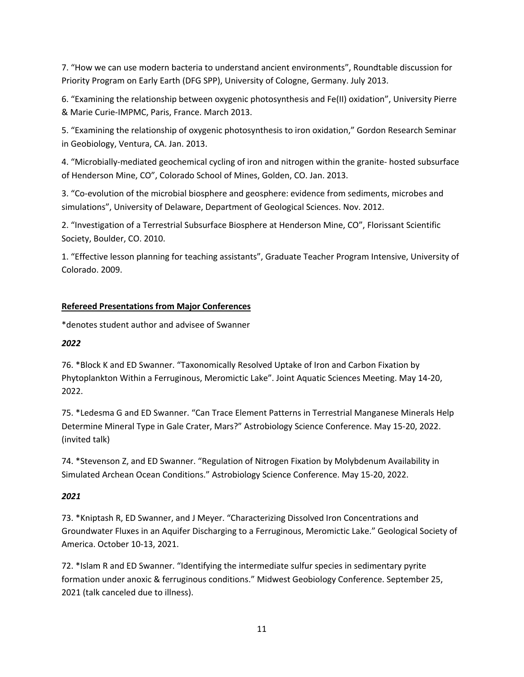7. "How we can use modern bacteria to understand ancient environments", Roundtable discussion for Priority Program on Early Earth (DFG SPP), University of Cologne, Germany. July 2013.

6. "Examining the relationship between oxygenic photosynthesis and Fe(II) oxidation", University Pierre & Marie Curie-IMPMC, Paris, France. March 2013.

5. "Examining the relationship of oxygenic photosynthesis to iron oxidation," Gordon Research Seminar in Geobiology, Ventura, CA. Jan. 2013.

4. "Microbially-mediated geochemical cycling of iron and nitrogen within the granite- hosted subsurface of Henderson Mine, CO", Colorado School of Mines, Golden, CO. Jan. 2013.

3. "Co-evolution of the microbial biosphere and geosphere: evidence from sediments, microbes and simulations", University of Delaware, Department of Geological Sciences. Nov. 2012.

2. "Investigation of a Terrestrial Subsurface Biosphere at Henderson Mine, CO", Florissant Scientific Society, Boulder, CO. 2010.

1. "Effective lesson planning for teaching assistants", Graduate Teacher Program Intensive, University of Colorado. 2009.

# **Refereed Presentations from Major Conferences**

\*denotes student author and advisee of Swanner

# *2022*

76. \*Block K and ED Swanner. "Taxonomically Resolved Uptake of Iron and Carbon Fixation by Phytoplankton Within a Ferruginous, Meromictic Lake". Joint Aquatic Sciences Meeting. May 14-20, 2022.

75. \*Ledesma G and ED Swanner. "Can Trace Element Patterns in Terrestrial Manganese Minerals Help Determine Mineral Type in Gale Crater, Mars?" Astrobiology Science Conference. May 15-20, 2022. (invited talk)

74. \*Stevenson Z, and ED Swanner. "Regulation of Nitrogen Fixation by Molybdenum Availability in Simulated Archean Ocean Conditions." Astrobiology Science Conference. May 15-20, 2022.

# *2021*

73. \*Kniptash R, ED Swanner, and J Meyer. "Characterizing Dissolved Iron Concentrations and Groundwater Fluxes in an Aquifer Discharging to a Ferruginous, Meromictic Lake." Geological Society of America. October 10-13, 2021.

72. \*Islam R and ED Swanner. "Identifying the intermediate sulfur species in sedimentary pyrite formation under anoxic & ferruginous conditions." Midwest Geobiology Conference. September 25, 2021 (talk canceled due to illness).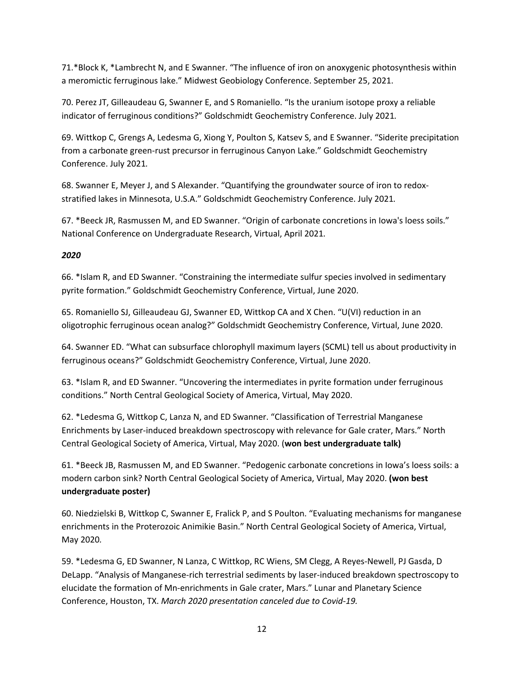71.\*Block K, \*Lambrecht N, and E Swanner. "The influence of iron on anoxygenic photosynthesis within a meromictic ferruginous lake." Midwest Geobiology Conference. September 25, 2021.

70. Perez JT, Gilleaudeau G, Swanner E, and S Romaniello. "Is the uranium isotope proxy a reliable indicator of ferruginous conditions?" Goldschmidt Geochemistry Conference. July 2021*.*

69. Wittkop C, Grengs A, Ledesma G, Xiong Y, Poulton S, Katsev S, and E Swanner. "Siderite precipitation from a carbonate green-rust precursor in ferruginous Canyon Lake." Goldschmidt Geochemistry Conference. July 2021*.*

68. Swanner E, Meyer J, and S Alexander. "Quantifying the groundwater source of iron to redoxstratified lakes in Minnesota, U.S.A." Goldschmidt Geochemistry Conference. July 2021*.*

67. \*Beeck JR, Rasmussen M, and ED Swanner. "Origin of carbonate concretions in Iowa's loess soils." National Conference on Undergraduate Research, Virtual, April 2021*.*

## *2020*

66. \*Islam R, and ED Swanner. "Constraining the intermediate sulfur species involved in sedimentary pyrite formation." Goldschmidt Geochemistry Conference, Virtual, June 2020.

65. Romaniello SJ, Gilleaudeau GJ, Swanner ED, Wittkop CA and X Chen. "U(VI) reduction in an oligotrophic ferruginous ocean analog?" Goldschmidt Geochemistry Conference, Virtual, June 2020.

64. Swanner ED. "What can subsurface chlorophyll maximum layers (SCML) tell us about productivity in ferruginous oceans?" Goldschmidt Geochemistry Conference, Virtual, June 2020.

63. \*Islam R, and ED Swanner. "Uncovering the intermediates in pyrite formation under ferruginous conditions." North Central Geological Society of America, Virtual, May 2020.

62. \*Ledesma G, Wittkop C, Lanza N, and ED Swanner. "Classification of Terrestrial Manganese Enrichments by Laser-induced breakdown spectroscopy with relevance for Gale crater, Mars." North Central Geological Society of America, Virtual, May 2020. (**won best undergraduate talk)**

61. \*Beeck JB, Rasmussen M, and ED Swanner. "Pedogenic carbonate concretions in Iowa's loess soils: a modern carbon sink? North Central Geological Society of America, Virtual, May 2020. **(won best undergraduate poster)**

60. Niedzielski B, Wittkop C, Swanner E, Fralick P, and S Poulton. "Evaluating mechanisms for manganese enrichments in the Proterozoic Animikie Basin." North Central Geological Society of America, Virtual, May 2020*.*

59. \*Ledesma G, ED Swanner, N Lanza, C Wittkop, RC Wiens, SM Clegg, A Reyes-Newell, PJ Gasda, D DeLapp. "Analysis of Manganese-rich terrestrial sediments by laser-induced breakdown spectroscopy to elucidate the formation of Mn-enrichments in Gale crater, Mars." Lunar and Planetary Science Conference, Houston, TX. *March 2020 presentation canceled due to Covid-19.*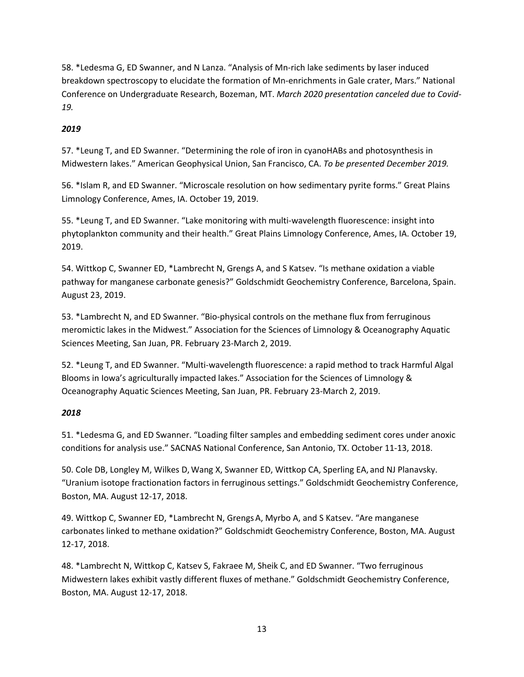58. \*Ledesma G, ED Swanner, and N Lanza. "Analysis of Mn-rich lake sediments by laser induced breakdown spectroscopy to elucidate the formation of Mn-enrichments in Gale crater, Mars." National Conference on Undergraduate Research, Bozeman, MT. *March 2020 presentation canceled due to Covid-19.*

# *2019*

57. \*Leung T, and ED Swanner. "Determining the role of iron in cyanoHABs and photosynthesis in Midwestern lakes." American Geophysical Union, San Francisco, CA. *To be presented December 2019.*

56. \*Islam R, and ED Swanner. "Microscale resolution on how sedimentary pyrite forms." Great Plains Limnology Conference, Ames, IA. October 19, 2019.

55. \*Leung T, and ED Swanner. "Lake monitoring with multi-wavelength fluorescence: insight into phytoplankton community and their health." Great Plains Limnology Conference, Ames, IA. October 19, 2019.

54. Wittkop C, Swanner ED, \*Lambrecht N, Grengs A, and S Katsev. "Is methane oxidation a viable pathway for manganese carbonate genesis?" Goldschmidt Geochemistry Conference, Barcelona, Spain. August 23, 2019.

53. \*Lambrecht N, and ED Swanner. "Bio-physical controls on the methane flux from ferruginous meromictic lakes in the Midwest." Association for the Sciences of Limnology & Oceanography Aquatic Sciences Meeting, San Juan, PR. February 23-March 2, 2019.

52. \*Leung T, and ED Swanner. "Multi-wavelength fluorescence: a rapid method to track Harmful Algal Blooms in Iowa's agriculturally impacted lakes." Association for the Sciences of Limnology & Oceanography Aquatic Sciences Meeting, San Juan, PR. February 23-March 2, 2019.

## *2018*

51. \*Ledesma G, and ED Swanner. "Loading filter samples and embedding sediment cores under anoxic conditions for analysis use." SACNAS National Conference, San Antonio, TX. October 11-13, 2018.

50. Cole DB, Longley M, Wilkes D,Wang X, Swanner ED, Wittkop CA, Sperling EA, and NJ Planavsky. "Uranium isotope fractionation factors in ferruginous settings." Goldschmidt Geochemistry Conference, Boston, MA. August 12-17, 2018.

49. Wittkop C, Swanner ED, \*Lambrecht N, GrengsA, Myrbo A, and S Katsev. "Are manganese carbonates linked to methane oxidation?" Goldschmidt Geochemistry Conference, Boston, MA. August 12-17, 2018.

48. \*Lambrecht N, Wittkop C, Katsev S, Fakraee M, Sheik C, and ED Swanner. "Two ferruginous Midwestern lakes exhibit vastly different fluxes of methane." Goldschmidt Geochemistry Conference, Boston, MA. August 12-17, 2018.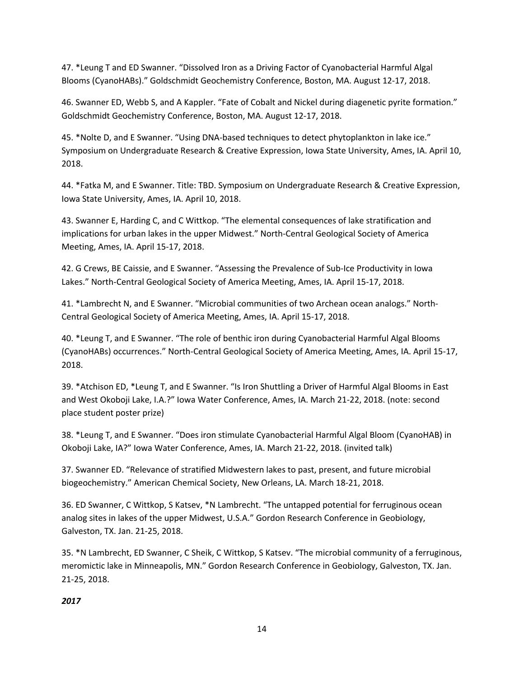47. \*Leung T and ED Swanner. "Dissolved Iron as a Driving Factor of Cyanobacterial Harmful Algal Blooms (CyanoHABs)." Goldschmidt Geochemistry Conference, Boston, MA. August 12-17, 2018.

46. Swanner ED, Webb S, and A Kappler. "Fate of Cobalt and Nickel during diagenetic pyrite formation." Goldschmidt Geochemistry Conference, Boston, MA. August 12-17, 2018.

45. \*Nolte D, and E Swanner. "Using DNA-based techniques to detect phytoplankton in lake ice." Symposium on Undergraduate Research & Creative Expression, Iowa State University, Ames, IA. April 10, 2018.

44. \*Fatka M, and E Swanner. Title: TBD. Symposium on Undergraduate Research & Creative Expression, Iowa State University, Ames, IA. April 10, 2018.

43. Swanner E, Harding C, and C Wittkop. "The elemental consequences of lake stratification and implications for urban lakes in the upper Midwest." North-Central Geological Society of America Meeting, Ames, IA. April 15-17, 2018.

42. G Crews, BE Caissie, and E Swanner. "Assessing the Prevalence of Sub-Ice Productivity in Iowa Lakes." North-Central Geological Society of America Meeting, Ames, IA. April 15-17, 2018.

41. \*Lambrecht N, and E Swanner. "Microbial communities of two Archean ocean analogs." North-Central Geological Society of America Meeting, Ames, IA. April 15-17, 2018.

40. \*Leung T, and E Swanner. "The role of benthic iron during Cyanobacterial Harmful Algal Blooms (CyanoHABs) occurrences." North-Central Geological Society of America Meeting, Ames, IA. April 15-17, 2018.

39. \*Atchison ED, \*Leung T, and E Swanner. "Is Iron Shuttling a Driver of Harmful Algal Blooms in East and West Okoboji Lake, I.A.?" Iowa Water Conference, Ames, IA. March 21-22, 2018. (note: second place student poster prize)

38. \*Leung T, and E Swanner. "Does iron stimulate Cyanobacterial Harmful Algal Bloom (CyanoHAB) in Okoboji Lake, IA?" Iowa Water Conference, Ames, IA. March 21-22, 2018. (invited talk)

37. Swanner ED. "Relevance of stratified Midwestern lakes to past, present, and future microbial biogeochemistry." American Chemical Society, New Orleans, LA. March 18-21, 2018.

36. ED Swanner, C Wittkop, S Katsev, \*N Lambrecht. "The untapped potential for ferruginous ocean analog sites in lakes of the upper Midwest, U.S.A." Gordon Research Conference in Geobiology, Galveston, TX. Jan. 21-25, 2018.

35. \*N Lambrecht, ED Swanner, C Sheik, C Wittkop, S Katsev. "The microbial community of a ferruginous, meromictic lake in Minneapolis, MN." Gordon Research Conference in Geobiology, Galveston, TX. Jan. 21-25, 2018.

## *2017*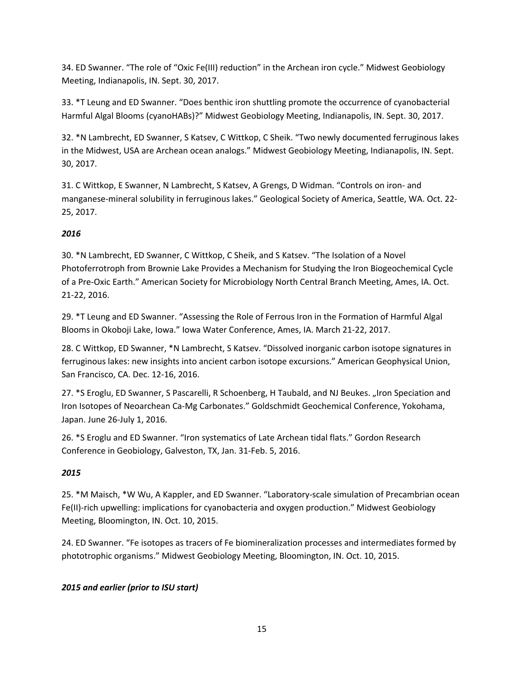34. ED Swanner. "The role of "Oxic Fe(III) reduction" in the Archean iron cycle." Midwest Geobiology Meeting, Indianapolis, IN. Sept. 30, 2017.

33. \*T Leung and ED Swanner. "Does benthic iron shuttling promote the occurrence of cyanobacterial Harmful Algal Blooms (cyanoHABs)?" Midwest Geobiology Meeting, Indianapolis, IN. Sept. 30, 2017.

32. \*N Lambrecht, ED Swanner, S Katsev, C Wittkop, C Sheik. "Two newly documented ferruginous lakes in the Midwest, USA are Archean ocean analogs." Midwest Geobiology Meeting, Indianapolis, IN. Sept. 30, 2017.

31. C Wittkop, E Swanner, N Lambrecht, S Katsev, A Grengs, D Widman. "Controls on iron- and manganese-mineral solubility in ferruginous lakes." Geological Society of America, Seattle, WA. Oct. 22- 25, 2017.

# *2016*

30. \*N Lambrecht, ED Swanner, C Wittkop, C Sheik, and S Katsev. "The Isolation of a Novel Photoferrotroph from Brownie Lake Provides a Mechanism for Studying the Iron Biogeochemical Cycle of a Pre-Oxic Earth." American Society for Microbiology North Central Branch Meeting, Ames, IA. Oct. 21-22, 2016.

29. \*T Leung and ED Swanner. "Assessing the Role of Ferrous Iron in the Formation of Harmful Algal Blooms in Okoboji Lake, Iowa." Iowa Water Conference, Ames, IA. March 21-22, 2017.

28. C Wittkop, ED Swanner, \*N Lambrecht, S Katsev. "Dissolved inorganic carbon isotope signatures in ferruginous lakes: new insights into ancient carbon isotope excursions." American Geophysical Union, San Francisco, CA. Dec. 12-16, 2016.

27. \*S Eroglu, ED Swanner, S Pascarelli, R Schoenberg, H Taubald, and NJ Beukes. "Iron Speciation and Iron Isotopes of Neoarchean Ca-Mg Carbonates." Goldschmidt Geochemical Conference, Yokohama, Japan. June 26-July 1, 2016.

26. \*S Eroglu and ED Swanner. "Iron systematics of Late Archean tidal flats." Gordon Research Conference in Geobiology, Galveston, TX, Jan. 31-Feb. 5, 2016.

# *2015*

25. \*M Maisch, \*W Wu, A Kappler, and ED Swanner. "Laboratory-scale simulation of Precambrian ocean Fe(II)-rich upwelling: implications for cyanobacteria and oxygen production." Midwest Geobiology Meeting, Bloomington, IN. Oct. 10, 2015.

24. ED Swanner. "Fe isotopes as tracers of Fe biomineralization processes and intermediates formed by phototrophic organisms." Midwest Geobiology Meeting, Bloomington, IN. Oct. 10, 2015.

# *2015 and earlier (prior to ISU start)*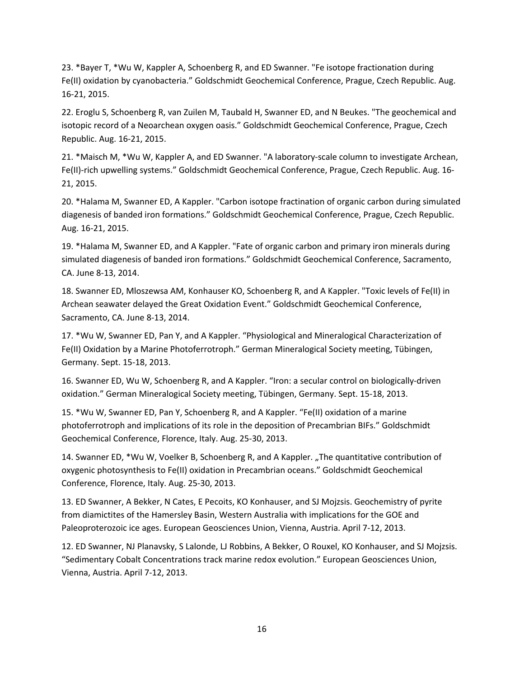23. \*Bayer T, \*Wu W, Kappler A, Schoenberg R, and ED Swanner. "Fe isotope fractionation during Fe(II) oxidation by cyanobacteria." Goldschmidt Geochemical Conference, Prague, Czech Republic. Aug. 16-21, 2015.

22. Eroglu S, Schoenberg R, van Zuilen M, Taubald H, Swanner ED, and N Beukes. "The geochemical and isotopic record of a Neoarchean oxygen oasis." Goldschmidt Geochemical Conference, Prague, Czech Republic. Aug. 16-21, 2015.

21. \*Maisch M, \*Wu W, Kappler A, and ED Swanner. "A laboratory-scale column to investigate Archean, Fe(II)-rich upwelling systems." Goldschmidt Geochemical Conference, Prague, Czech Republic. Aug. 16- 21, 2015.

20. \*Halama M, Swanner ED, A Kappler. "Carbon isotope fractination of organic carbon during simulated diagenesis of banded iron formations." Goldschmidt Geochemical Conference, Prague, Czech Republic. Aug. 16-21, 2015.

19. \*Halama M, Swanner ED, and A Kappler. "Fate of organic carbon and primary iron minerals during simulated diagenesis of banded iron formations." Goldschmidt Geochemical Conference, Sacramento, CA. June 8-13, 2014.

18. Swanner ED, Mloszewsa AM, Konhauser KO, Schoenberg R, and A Kappler. "Toxic levels of Fe(II) in Archean seawater delayed the Great Oxidation Event." Goldschmidt Geochemical Conference, Sacramento, CA. June 8-13, 2014.

17. \*Wu W, Swanner ED, Pan Y, and A Kappler. "Physiological and Mineralogical Characterization of Fe(II) Oxidation by a Marine Photoferrotroph." German Mineralogical Society meeting, Tübingen, Germany. Sept. 15-18, 2013.

16. Swanner ED, Wu W, Schoenberg R, and A Kappler. "Iron: a secular control on biologically-driven oxidation." German Mineralogical Society meeting, Tübingen, Germany. Sept. 15-18, 2013.

15. \*Wu W, Swanner ED, Pan Y, Schoenberg R, and A Kappler. "Fe(II) oxidation of a marine photoferrotroph and implications of its role in the deposition of Precambrian BIFs." Goldschmidt Geochemical Conference, Florence, Italy. Aug. 25-30, 2013.

14. Swanner ED, \*Wu W, Voelker B, Schoenberg R, and A Kappler. "The quantitative contribution of oxygenic photosynthesis to Fe(II) oxidation in Precambrian oceans." Goldschmidt Geochemical Conference, Florence, Italy. Aug. 25-30, 2013.

13. ED Swanner, A Bekker, N Cates, E Pecoits, KO Konhauser, and SJ Mojzsis. Geochemistry of pyrite from diamictites of the Hamersley Basin, Western Australia with implications for the GOE and Paleoproterozoic ice ages. European Geosciences Union, Vienna, Austria. April 7-12, 2013.

12. ED Swanner, NJ Planavsky, S Lalonde, LJ Robbins, A Bekker, O Rouxel, KO Konhauser, and SJ Mojzsis. "Sedimentary Cobalt Concentrations track marine redox evolution." European Geosciences Union, Vienna, Austria. April 7-12, 2013.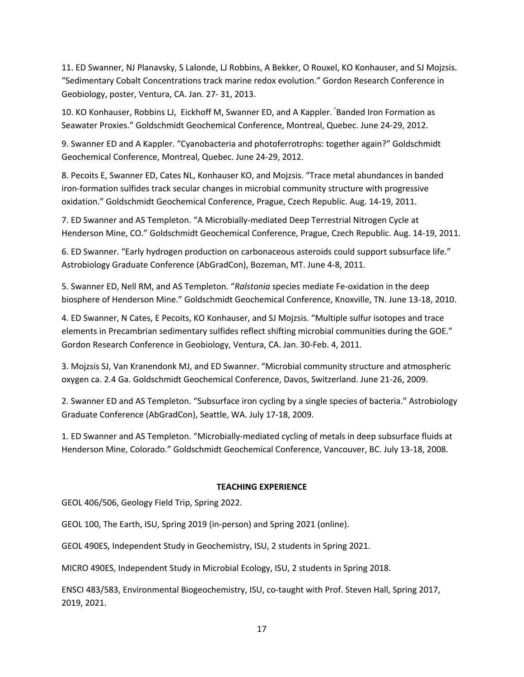11. ED Swanner, NJ Planavsky, S Lalonde, LJ Robbins, A Bekker, O Rouxel, KO Konhauser, and SJ Mojzsis. "Sedimentary Cobalt Concentrations track marine redox evolution." Gordon Research Conference in Geobiology, poster, Ventura, CA. Jan. 27- 31, 2013.

10. KO Konhauser, Robbins LJ, Eickhoff M, Swanner ED, and A Kappler. " Banded Iron Formation as Seawater Proxies." Goldschmidt Geochemical Conference, Montreal, Quebec. June 24-29, 2012.

9. Swanner ED and A Kappler. "Cyanobacteria and photoferrotrophs: together again?" Goldschmidt Geochemical Conference, Montreal, Quebec. June 24-29, 2012.

8. Pecoits E, Swanner ED, Cates NL, Konhauser KO, and Mojzsis. "Trace metal abundances in banded iron-formation sulfides track secular changes in microbial community structure with progressive oxidation." Goldschmidt Geochemical Conference, Prague, Czech Republic. Aug. 14-19, 2011.

7. ED Swanner and AS Templeton. "A Microbially-mediated Deep Terrestrial Nitrogen Cycle at Henderson Mine, CO." Goldschmidt Geochemical Conference, Prague, Czech Republic. Aug. 14-19, 2011.

6. ED Swanner. "Early hydrogen production on carbonaceous asteroids could support subsurface life." Astrobiology Graduate Conference (AbGradCon), Bozeman, MT. June 4-8, 2011.

5. Swanner ED, Nell RM, and AS Templeton. "*Ralstonia* species mediate Fe-oxidation in the deep biosphere of Henderson Mine." Goldschmidt Geochemical Conference, Knoxville, TN. June 13-18, 2010.

4. ED Swanner, N Cates, E Pecoits, KO Konhauser, and SJ Mojzsis. "Multiple sulfur isotopes and trace elements in Precambrian sedimentary sulfides reflect shifting microbial communities during the GOE." Gordon Research Conference in Geobiology, Ventura, CA. Jan. 30-Feb. 4, 2011.

3. Mojzsis SJ, Van Kranendonk MJ, and ED Swanner. "Microbial community structure and atmospheric oxygen ca. 2.4 Ga. Goldschmidt Geochemical Conference, Davos, Switzerland. June 21-26, 2009.

2. Swanner ED and AS Templeton. "Subsurface iron cycling by a single species of bacteria." Astrobiology Graduate Conference (AbGradCon), Seattle, WA. July 17-18, 2009.

1. ED Swanner and AS Templeton. "Microbially-mediated cycling of metals in deep subsurface fluids at Henderson Mine, Colorado." Goldschmidt Geochemical Conference, Vancouver, BC. July 13-18, 2008.

### **TEACHING EXPERIENCE**

GEOL 406/506, Geology Field Trip, Spring 2022.

GEOL 100, The Earth, ISU, Spring 2019 (in-person) and Spring 2021 (online).

GEOL 490ES, Independent Study in Geochemistry, ISU, 2 students in Spring 2021.

MICRO 490ES, Independent Study in Microbial Ecology, ISU, 2 students in Spring 2018.

ENSCI 483/583, Environmental Biogeochemistry, ISU, co-taught with Prof. Steven Hall, Spring 2017, 2019, 2021.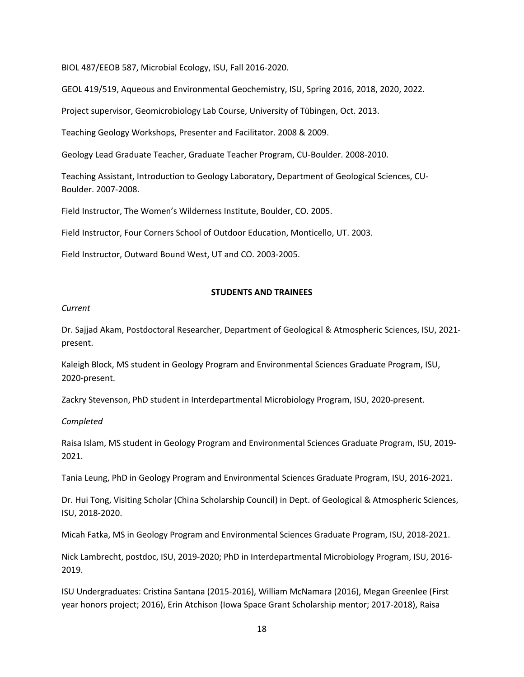BIOL 487/EEOB 587, Microbial Ecology, ISU, Fall 2016-2020.

GEOL 419/519, Aqueous and Environmental Geochemistry, ISU, Spring 2016, 2018, 2020, 2022.

Project supervisor, Geomicrobiology Lab Course, University of Tübingen, Oct. 2013.

Teaching Geology Workshops, Presenter and Facilitator. 2008 & 2009.

Geology Lead Graduate Teacher, Graduate Teacher Program, CU-Boulder. 2008-2010.

Teaching Assistant, Introduction to Geology Laboratory, Department of Geological Sciences, CU-Boulder. 2007-2008.

Field Instructor, The Women's Wilderness Institute, Boulder, CO. 2005.

Field Instructor, Four Corners School of Outdoor Education, Monticello, UT. 2003.

Field Instructor, Outward Bound West, UT and CO. 2003-2005.

#### **STUDENTS AND TRAINEES**

#### *Current*

Dr. Sajjad Akam, Postdoctoral Researcher, Department of Geological & Atmospheric Sciences, ISU, 2021 present.

Kaleigh Block, MS student in Geology Program and Environmental Sciences Graduate Program, ISU, 2020-present.

Zackry Stevenson, PhD student in Interdepartmental Microbiology Program, ISU, 2020-present.

#### *Completed*

Raisa Islam, MS student in Geology Program and Environmental Sciences Graduate Program, ISU, 2019- 2021.

Tania Leung, PhD in Geology Program and Environmental Sciences Graduate Program, ISU, 2016-2021.

Dr. Hui Tong, Visiting Scholar (China Scholarship Council) in Dept. of Geological & Atmospheric Sciences, ISU, 2018-2020.

Micah Fatka, MS in Geology Program and Environmental Sciences Graduate Program, ISU, 2018-2021.

Nick Lambrecht, postdoc, ISU, 2019-2020; PhD in Interdepartmental Microbiology Program, ISU, 2016- 2019.

ISU Undergraduates: Cristina Santana (2015-2016), William McNamara (2016), Megan Greenlee (First year honors project; 2016), Erin Atchison (Iowa Space Grant Scholarship mentor; 2017-2018), Raisa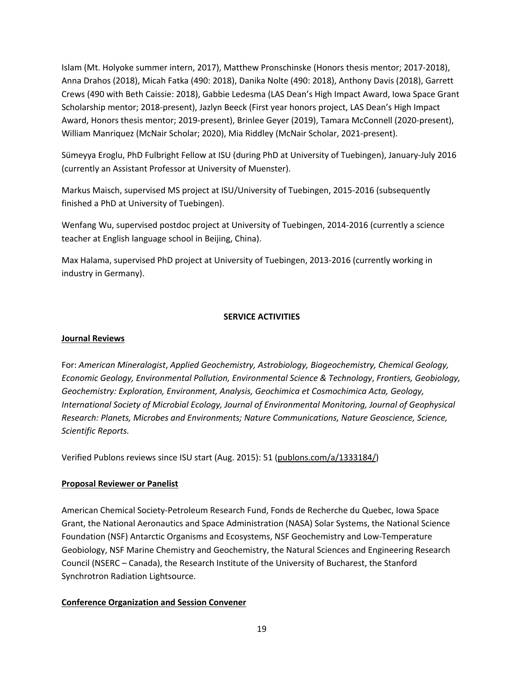Islam (Mt. Holyoke summer intern, 2017), Matthew Pronschinske (Honors thesis mentor; 2017-2018), Anna Drahos (2018), Micah Fatka (490: 2018), Danika Nolte (490: 2018), Anthony Davis (2018), Garrett Crews (490 with Beth Caissie: 2018), Gabbie Ledesma (LAS Dean's High Impact Award, Iowa Space Grant Scholarship mentor; 2018-present), Jazlyn Beeck (First year honors project, LAS Dean's High Impact Award, Honors thesis mentor; 2019-present), Brinlee Geyer (2019), Tamara McConnell (2020-present), William Manriquez (McNair Scholar; 2020), Mia Riddley (McNair Scholar, 2021-present).

Sümeyya Eroglu, PhD Fulbright Fellow at ISU (during PhD at University of Tuebingen), January-July 2016 (currently an Assistant Professor at University of Muenster).

Markus Maisch, supervised MS project at ISU/University of Tuebingen, 2015-2016 (subsequently finished a PhD at University of Tuebingen).

Wenfang Wu, supervised postdoc project at University of Tuebingen, 2014-2016 (currently a science teacher at English language school in Beijing, China).

Max Halama, supervised PhD project at University of Tuebingen, 2013-2016 (currently working in industry in Germany).

## **SERVICE ACTIVITIES**

### **Journal Reviews**

For: *American Mineralogist*, *Applied Geochemistry, Astrobiology, Biogeochemistry, Chemical Geology, Economic Geology, Environmental Pollution, Environmental Science & Technology*, *Frontiers, Geobiology, Geochemistry: Exploration, Environment, Analysis, Geochimica et Cosmochimica Acta, Geology, International Society of Microbial Ecology, Journal of Environmental Monitoring, Journal of Geophysical Research: Planets, Microbes and Environments; Nature Communications, Nature Geoscience, Science, Scientific Reports.*

Verified Publons reviews since ISU start (Aug. 2015): 51 (publons.com/a/1333184/)

### **Proposal Reviewer or Panelist**

American Chemical Society-Petroleum Research Fund, Fonds de Recherche du Quebec, Iowa Space Grant, the National Aeronautics and Space Administration (NASA) Solar Systems, the National Science Foundation (NSF) Antarctic Organisms and Ecosystems, NSF Geochemistry and Low-Temperature Geobiology, NSF Marine Chemistry and Geochemistry, the Natural Sciences and Engineering Research Council (NSERC – Canada), the Research Institute of the University of Bucharest, the Stanford Synchrotron Radiation Lightsource.

### **Conference Organization and Session Convener**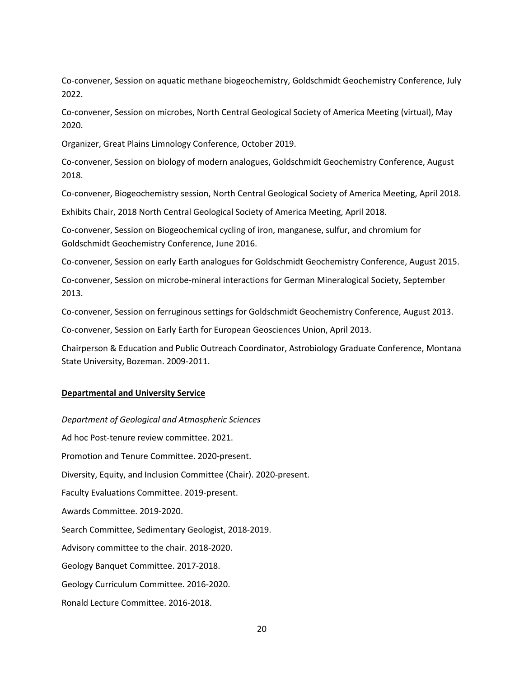Co-convener, Session on aquatic methane biogeochemistry, Goldschmidt Geochemistry Conference, July 2022.

Co-convener, Session on microbes, North Central Geological Society of America Meeting (virtual), May 2020.

Organizer, Great Plains Limnology Conference, October 2019.

Co-convener, Session on biology of modern analogues, Goldschmidt Geochemistry Conference, August 2018.

Co-convener, Biogeochemistry session, North Central Geological Society of America Meeting, April 2018.

Exhibits Chair, 2018 North Central Geological Society of America Meeting, April 2018.

Co-convener, Session on Biogeochemical cycling of iron, manganese, sulfur, and chromium for Goldschmidt Geochemistry Conference, June 2016.

Co-convener, Session on early Earth analogues for Goldschmidt Geochemistry Conference, August 2015.

Co-convener, Session on microbe-mineral interactions for German Mineralogical Society, September 2013.

Co-convener, Session on ferruginous settings for Goldschmidt Geochemistry Conference, August 2013.

Co-convener, Session on Early Earth for European Geosciences Union, April 2013.

Chairperson & Education and Public Outreach Coordinator, Astrobiology Graduate Conference, Montana State University, Bozeman. 2009-2011.

### **Departmental and University Service**

*Department of Geological and Atmospheric Sciences* Ad hoc Post-tenure review committee. 2021. Promotion and Tenure Committee. 2020-present. Diversity, Equity, and Inclusion Committee (Chair). 2020-present. Faculty Evaluations Committee. 2019-present. Awards Committee. 2019-2020. Search Committee, Sedimentary Geologist, 2018-2019. Advisory committee to the chair. 2018-2020. Geology Banquet Committee. 2017-2018. Geology Curriculum Committee. 2016-2020. Ronald Lecture Committee. 2016-2018.